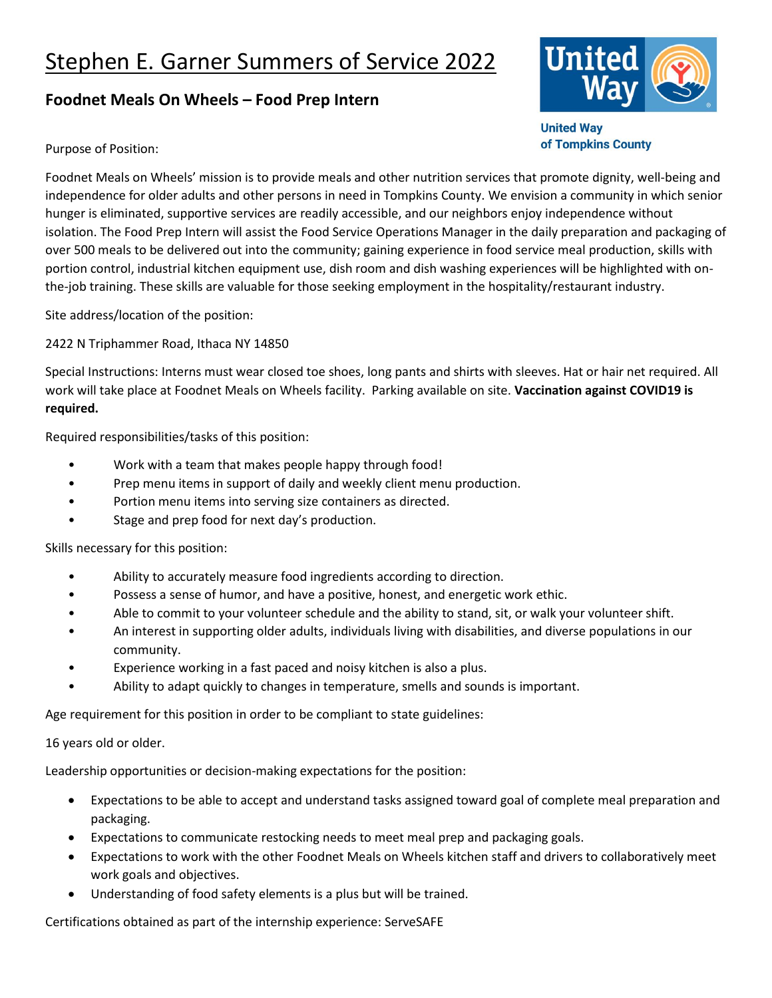## Stephen E. Garner Summers of Service 2022

## **Foodnet Meals On Wheels – Food Prep Intern**



**United Way** of Tompkins County

Purpose of Position:

Foodnet Meals on Wheels' mission is to provide meals and other nutrition services that promote dignity, well-being and independence for older adults and other persons in need in Tompkins County. We envision a community in which senior hunger is eliminated, supportive services are readily accessible, and our neighbors enjoy independence without isolation. The Food Prep Intern will assist the Food Service Operations Manager in the daily preparation and packaging of over 500 meals to be delivered out into the community; gaining experience in food service meal production, skills with portion control, industrial kitchen equipment use, dish room and dish washing experiences will be highlighted with onthe-job training. These skills are valuable for those seeking employment in the hospitality/restaurant industry.

Site address/location of the position:

2422 N Triphammer Road, Ithaca NY 14850

Special Instructions: Interns must wear closed toe shoes, long pants and shirts with sleeves. Hat or hair net required. All work will take place at Foodnet Meals on Wheels facility. Parking available on site. **Vaccination against COVID19 is required.**

Required responsibilities/tasks of this position:

- Work with a team that makes people happy through food!
- Prep menu items in support of daily and weekly client menu production.
- Portion menu items into serving size containers as directed.
- Stage and prep food for next day's production.

Skills necessary for this position:

- Ability to accurately measure food ingredients according to direction.
- Possess a sense of humor, and have a positive, honest, and energetic work ethic.
- Able to commit to your volunteer schedule and the ability to stand, sit, or walk your volunteer shift.
- An interest in supporting older adults, individuals living with disabilities, and diverse populations in our community.
- Experience working in a fast paced and noisy kitchen is also a plus.
- Ability to adapt quickly to changes in temperature, smells and sounds is important.

Age requirement for this position in order to be compliant to state guidelines:

16 years old or older.

Leadership opportunities or decision-making expectations for the position:

- Expectations to be able to accept and understand tasks assigned toward goal of complete meal preparation and packaging.
- Expectations to communicate restocking needs to meet meal prep and packaging goals.
- Expectations to work with the other Foodnet Meals on Wheels kitchen staff and drivers to collaboratively meet work goals and objectives.
- Understanding of food safety elements is a plus but will be trained.

Certifications obtained as part of the internship experience: ServeSAFE